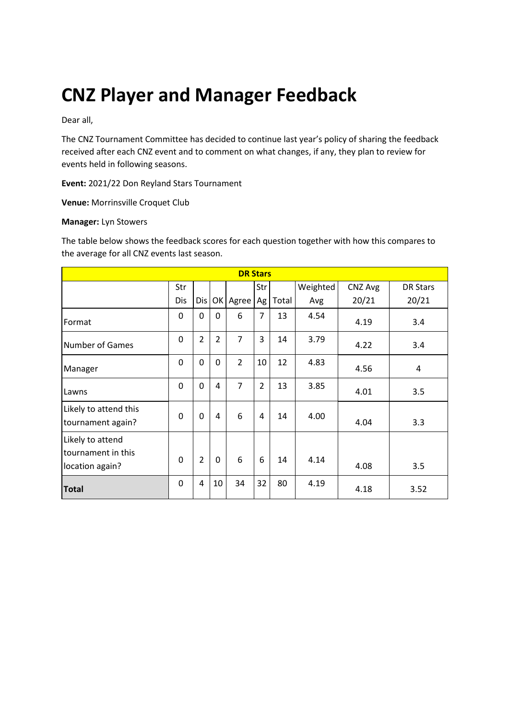# **CNZ Player and Manager Feedback**

Dear all,

The CNZ Tournament Committee has decided to continue last year's policy of sharing the feedback received after each CNZ event and to comment on what changes, if any, they plan to review for events held in following seasons.

**Event:** 2021/22 Don Reyland Stars Tournament

**Venue:** Morrinsville Croquet Club

#### **Manager:** Lyn Stowers

The table below shows the feedback scores for each question together with how this compares to the average for all CNZ events last season.

| <b>DR Stars</b>                                           |          |                |                |                |                |       |          |         |                 |
|-----------------------------------------------------------|----------|----------------|----------------|----------------|----------------|-------|----------|---------|-----------------|
|                                                           | Str      |                |                |                | Str            |       | Weighted | CNZ Avg | <b>DR Stars</b> |
|                                                           | Dis      | Dis            |                | OK Agree       | Ag             | Total | Avg      | 20/21   | 20/21           |
| Format                                                    | 0        | 0              | $\Omega$       | 6              | 7              | 13    | 4.54     | 4.19    | 3.4             |
| <b>Number of Games</b>                                    | 0        | $\overline{2}$ | $\overline{2}$ | $\overline{7}$ | 3              | 14    | 3.79     | 4.22    | 3.4             |
| Manager                                                   | 0        | 0              | $\mathbf 0$    | $\overline{2}$ | 10             | 12    | 4.83     | 4.56    | 4               |
| Lawns                                                     | 0        | 0              | 4              | $\overline{7}$ | $\overline{2}$ | 13    | 3.85     | 4.01    | 3.5             |
| Likely to attend this<br>tournament again?                | $\Omega$ | $\Omega$       | $\overline{4}$ | 6              | 4              | 14    | 4.00     | 4.04    | 3.3             |
| Likely to attend<br>tournament in this<br>location again? | $\Omega$ | $\overline{2}$ | $\mathbf 0$    | 6              | 6              | 14    | 4.14     | 4.08    | 3.5             |
| <b>Total</b>                                              | 0        | 4              | 10             | 34             | 32             | 80    | 4.19     | 4.18    | 3.52            |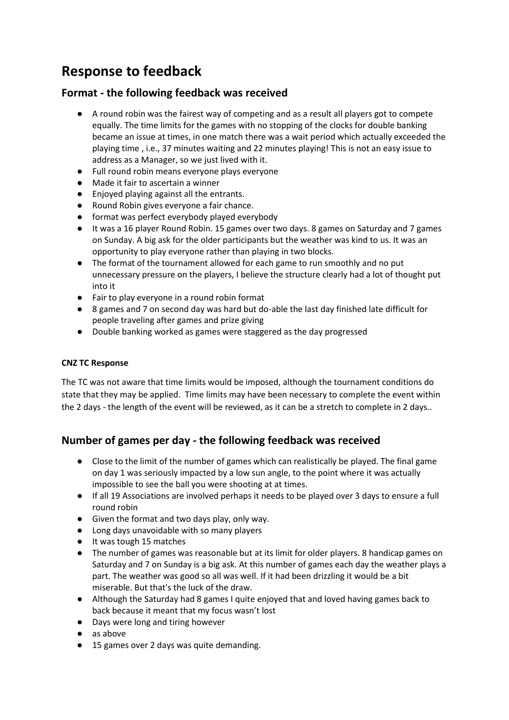# **Response to feedback**

# **Format - the following feedback was received**

- A round robin was the fairest way of competing and as a result all players got to compete equally. The time limits for the games with no stopping of the clocks for double banking became an issue at times, in one match there was a wait period which actually exceeded the playing time , i.e., 37 minutes waiting and 22 minutes playing! This is not an easy issue to address as a Manager, so we just lived with it.
- Full round robin means everyone plays everyone
- Made it fair to ascertain a winner
- Enjoyed playing against all the entrants.
- Round Robin gives everyone a fair chance.
- format was perfect everybody played everybody
- It was a 16 player Round Robin. 15 games over two days. 8 games on Saturday and 7 games on Sunday. A big ask for the older participants but the weather was kind to us. It was an opportunity to play everyone rather than playing in two blocks.
- The format of the tournament allowed for each game to run smoothly and no put unnecessary pressure on the players, I believe the structure clearly had a lot of thought put into it
- Fair to play everyone in a round robin format
- 8 games and 7 on second day was hard but do-able the last day finished late difficult for people traveling after games and prize giving
- Double banking worked as games were staggered as the day progressed

### **CNZ TC Response**

The TC was not aware that time limits would be imposed, although the tournament conditions do state that they may be applied. Time limits may have been necessary to complete the event within the 2 days - the length of the event will be reviewed, as it can be a stretch to complete in 2 days..

# **Number of games per day - the following feedback was received**

- Close to the limit of the number of games which can realistically be played. The final game on day 1 was seriously impacted by a low sun angle, to the point where it was actually impossible to see the ball you were shooting at at times.
- If all 19 Associations are involved perhaps it needs to be played over 3 days to ensure a full round robin
- Given the format and two days play, only way.
- Long days unavoidable with so many players
- It was tough 15 matches
- The number of games was reasonable but at its limit for older players. 8 handicap games on Saturday and 7 on Sunday is a big ask. At this number of games each day the weather plays a part. The weather was good so all was well. If it had been drizzling it would be a bit miserable. But that's the luck of the draw.
- Although the Saturday had 8 games I quite enjoyed that and loved having games back to back because it meant that my focus wasn't lost
- Days were long and tiring however
- as above
- 15 games over 2 days was quite demanding.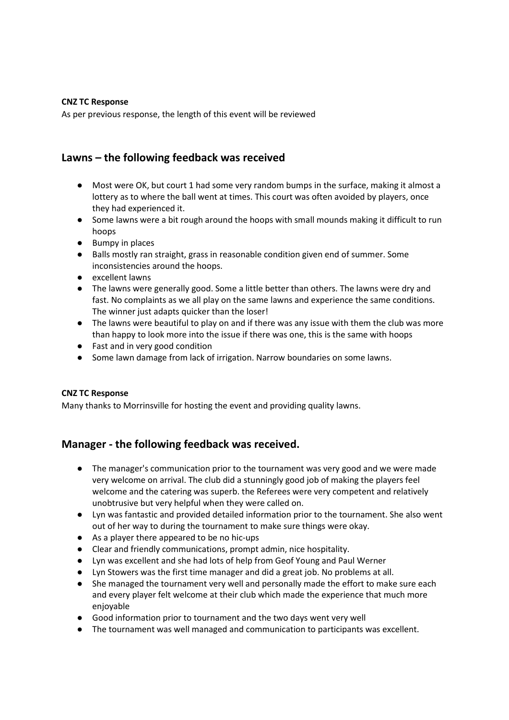#### **CNZ TC Response**

As per previous response, the length of this event will be reviewed

# **Lawns – the following feedback was received**

- Most were OK, but court 1 had some very random bumps in the surface, making it almost a lottery as to where the ball went at times. This court was often avoided by players, once they had experienced it.
- Some lawns were a bit rough around the hoops with small mounds making it difficult to run hoops
- Bumpy in places
- Balls mostly ran straight, grass in reasonable condition given end of summer. Some inconsistencies around the hoops.
- excellent lawns
- The lawns were generally good. Some a little better than others. The lawns were dry and fast. No complaints as we all play on the same lawns and experience the same conditions. The winner just adapts quicker than the loser!
- The lawns were beautiful to play on and if there was any issue with them the club was more than happy to look more into the issue if there was one, this is the same with hoops
- Fast and in very good condition
- Some lawn damage from lack of irrigation. Narrow boundaries on some lawns.

#### **CNZ TC Response**

Many thanks to Morrinsville for hosting the event and providing quality lawns.

## **Manager - the following feedback was received.**

- The manager's communication prior to the tournament was very good and we were made very welcome on arrival. The club did a stunningly good job of making the players feel welcome and the catering was superb. the Referees were very competent and relatively unobtrusive but very helpful when they were called on.
- Lyn was fantastic and provided detailed information prior to the tournament. She also went out of her way to during the tournament to make sure things were okay.
- As a player there appeared to be no hic-ups
- Clear and friendly communications, prompt admin, nice hospitality.
- Lyn was excellent and she had lots of help from Geof Young and Paul Werner
- Lyn Stowers was the first time manager and did a great job. No problems at all.
- She managed the tournament very well and personally made the effort to make sure each and every player felt welcome at their club which made the experience that much more enjoyable
- Good information prior to tournament and the two days went very well
- The tournament was well managed and communication to participants was excellent.